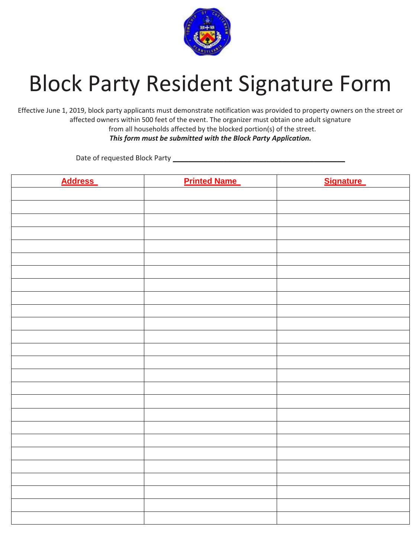

## Block Party Resident Signature Form

Effective June 1, 2019, block party applicants must demonstrate notification was provided to property owners on the street or affected owners within 500 feet of the event. The organizer must obtain one adult signature from all households affected by the blocked portion(s) of the street.

*This form must be submitted with the Block Party Application.*

Date of requested Block Party \_\_\_\_\_\_\_\_\_\_\_\_\_\_\_\_\_\_\_\_\_\_\_\_\_\_\_\_\_\_\_\_\_\_\_\_\_\_\_\_\_\_\_\_

| <b>Address</b> | <b>Printed Name</b> | <b>Signature</b> |
|----------------|---------------------|------------------|
|                |                     |                  |
|                |                     |                  |
|                |                     |                  |
|                |                     |                  |
|                |                     |                  |
|                |                     |                  |
|                |                     |                  |
|                |                     |                  |
|                |                     |                  |
|                |                     |                  |
|                |                     |                  |
|                |                     |                  |
|                |                     |                  |
|                |                     |                  |
|                |                     |                  |
|                |                     |                  |
|                |                     |                  |
|                |                     |                  |
|                |                     |                  |
|                |                     |                  |
|                |                     |                  |
|                |                     |                  |
|                |                     |                  |
|                |                     |                  |
|                |                     |                  |
|                |                     |                  |